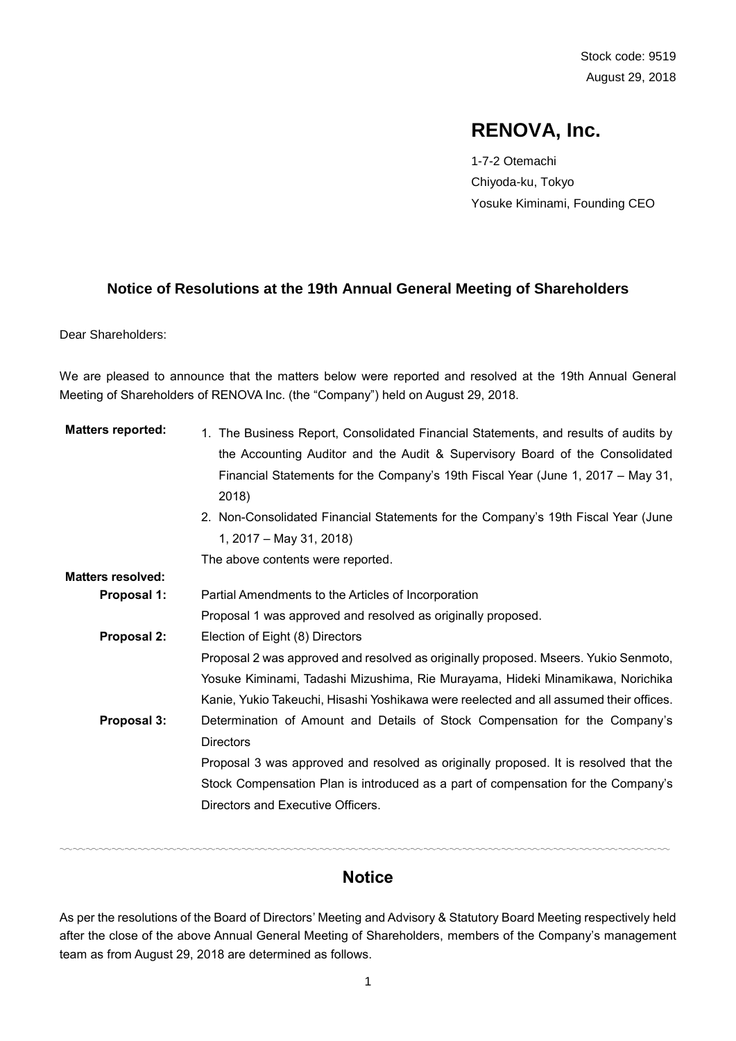# **RENOVA, Inc.**

1-7-2 Otemachi Chiyoda-ku, Tokyo Yosuke Kiminami, Founding CEO

### **Notice of Resolutions at the 19th Annual General Meeting of Shareholders**

Dear Shareholders:

We are pleased to announce that the matters below were reported and resolved at the 19th Annual General Meeting of Shareholders of RENOVA Inc. (the "Company") held on August 29, 2018.

| <b>Matters reported:</b> | 1. The Business Report, Consolidated Financial Statements, and results of audits by    |
|--------------------------|----------------------------------------------------------------------------------------|
|                          | the Accounting Auditor and the Audit & Supervisory Board of the Consolidated           |
|                          | Financial Statements for the Company's 19th Fiscal Year (June 1, 2017 – May 31,        |
|                          | 2018)                                                                                  |
|                          | 2. Non-Consolidated Financial Statements for the Company's 19th Fiscal Year (June      |
|                          | 1, 2017 – May 31, 2018)                                                                |
|                          | The above contents were reported.                                                      |
| <b>Matters resolved:</b> |                                                                                        |
| Proposal 1:              | Partial Amendments to the Articles of Incorporation                                    |
|                          | Proposal 1 was approved and resolved as originally proposed.                           |
| Proposal 2:              | Election of Eight (8) Directors                                                        |
|                          | Proposal 2 was approved and resolved as originally proposed. Mseers. Yukio Senmoto,    |
|                          | Yosuke Kiminami, Tadashi Mizushima, Rie Murayama, Hideki Minamikawa, Norichika         |
|                          | Kanie, Yukio Takeuchi, Hisashi Yoshikawa were reelected and all assumed their offices. |
| Proposal 3:              | Determination of Amount and Details of Stock Compensation for the Company's            |
|                          | <b>Directors</b>                                                                       |
|                          | Proposal 3 was approved and resolved as originally proposed. It is resolved that the   |
|                          | Stock Compensation Plan is introduced as a part of compensation for the Company's      |
|                          | Directors and Executive Officers.                                                      |
|                          |                                                                                        |

# **Notice**

〰〰〰〰〰〰〰〰〰〰〰〰〰〰〰〰〰〰〰〰〰〰〰〰〰〰〰〰〰〰〰〰〰〰〰〰〰〰〰〰〰〰〰〰〰〰〰

As per the resolutions of the Board of Directors' Meeting and Advisory & Statutory Board Meeting respectively held after the close of the above Annual General Meeting of Shareholders, members of the Company's management team as from August 29, 2018 are determined as follows.